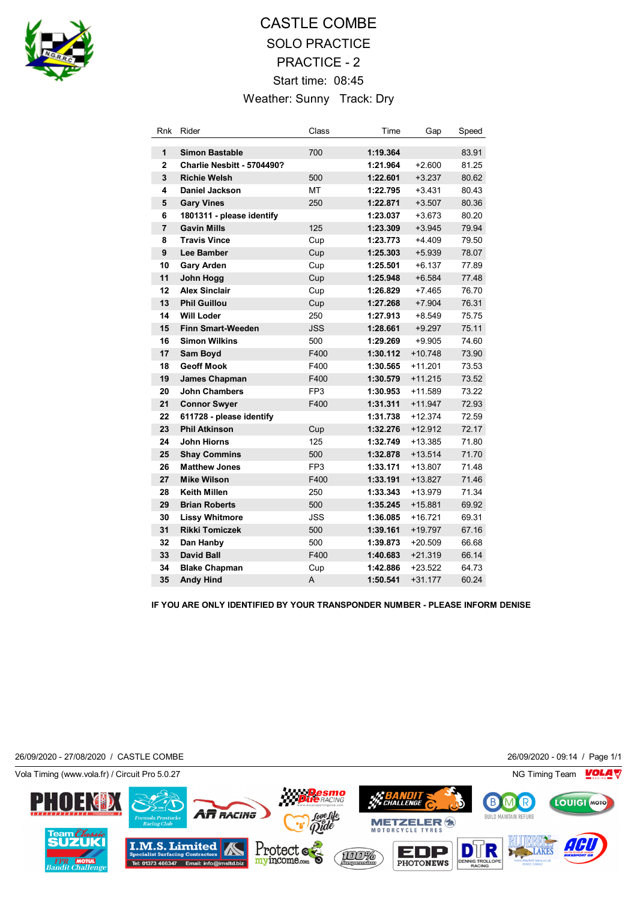

## CASTLE COMBE SOLO PRACTICE PRACTICE - 2 Start time: 08:45 Weather: Sunny Track: Dry

| Rnk            | Rider                      | Class           | Time     | Gap       | Speed |
|----------------|----------------------------|-----------------|----------|-----------|-------|
| 1              | <b>Simon Bastable</b>      | 700             | 1:19.364 |           | 83.91 |
| $\overline{2}$ | Charlie Nesbitt - 5704490? |                 | 1:21.964 | $+2.600$  | 81.25 |
| 3              | <b>Richie Welsh</b>        | 500             | 1:22.601 | $+3.237$  | 80.62 |
| 4              | <b>Daniel Jackson</b>      | MT              | 1:22.795 | $+3.431$  | 80.43 |
| 5              | <b>Gary Vines</b>          | 250             | 1:22.871 | $+3.507$  | 80.36 |
| 6              | 1801311 - please identify  |                 | 1:23.037 | $+3.673$  | 80.20 |
| $\overline{7}$ | <b>Gavin Mills</b>         | 125             | 1:23.309 | $+3.945$  | 79.94 |
| 8              | <b>Travis Vince</b>        | Cup             | 1:23.773 | $+4.409$  | 79.50 |
| 9              | Lee Bamber                 | Cup             | 1:25.303 | $+5.939$  | 78.07 |
| 10             | <b>Gary Arden</b>          | Cup             | 1:25.501 | $+6.137$  | 77.89 |
| 11             | John Hogg                  | Cup             | 1:25.948 | $+6.584$  | 77.48 |
| 12             | <b>Alex Sinclair</b>       | Cup             | 1:26.829 | $+7.465$  | 76.70 |
| 13             | <b>Phil Guillou</b>        | Cup             | 1:27.268 | $+7.904$  | 76.31 |
| 14             | <b>Will Loder</b>          | 250             | 1:27.913 | $+8.549$  | 75.75 |
| 15             | <b>Finn Smart-Weeden</b>   | <b>JSS</b>      | 1:28.661 | $+9.297$  | 75.11 |
| 16             | <b>Simon Wilkins</b>       | 500             | 1:29.269 | $+9.905$  | 74.60 |
| 17             | <b>Sam Boyd</b>            | F400            | 1:30.112 | $+10.748$ | 73.90 |
| 18             | <b>Geoff Mook</b>          | F400            | 1:30.565 | $+11.201$ | 73.53 |
| 19             | <b>James Chapman</b>       | F400            | 1:30.579 | $+11.215$ | 73.52 |
| 20             | <b>John Chambers</b>       | FP <sub>3</sub> | 1:30.953 | $+11.589$ | 73.22 |
| 21             | <b>Connor Swyer</b>        | F400            | 1:31.311 | $+11.947$ | 72.93 |
| 22             | 611728 - please identify   |                 | 1:31.738 | $+12.374$ | 72.59 |
| 23             | <b>Phil Atkinson</b>       | Cup             | 1:32.276 | $+12.912$ | 72.17 |
| 24             | <b>John Hiorns</b>         | 125             | 1:32.749 | $+13.385$ | 71.80 |
| 25             | <b>Shay Commins</b>        | 500             | 1:32.878 | $+13.514$ | 71.70 |
| 26             | <b>Matthew Jones</b>       | FP <sub>3</sub> | 1:33.171 | +13.807   | 71.48 |
| 27             | <b>Mike Wilson</b>         | F400            | 1:33.191 | $+13.827$ | 71.46 |
| 28             | <b>Keith Millen</b>        | 250             | 1:33.343 | +13.979   | 71.34 |
| 29             | <b>Brian Roberts</b>       | 500             | 1:35.245 | $+15.881$ | 69.92 |
| 30             | <b>Lissy Whitmore</b>      | JSS             | 1:36.085 | +16.721   | 69.31 |
| 31             | <b>Rikki Tomiczek</b>      | 500             | 1:39.161 | $+19.797$ | 67.16 |
| 32             | Dan Hanby                  | 500             | 1:39.873 | $+20.509$ | 66.68 |
| 33             | <b>David Ball</b>          | F400            | 1:40.683 | $+21.319$ | 66.14 |
| 34             | <b>Blake Chapman</b>       | Cup             | 1:42.886 | $+23.522$ | 64.73 |
| 35             | <b>Andy Hind</b>           | A               | 1:50.541 | $+31.177$ | 60.24 |

**IF YOU ARE ONLY IDENTIFIED BY YOUR TRANSPONDER NUMBER - PLEASE INFORM DENISE**

26/09/2020 - 27/08/2020 / CASTLE COMBE 26/09/2020 - 09:14 / Page 1/1

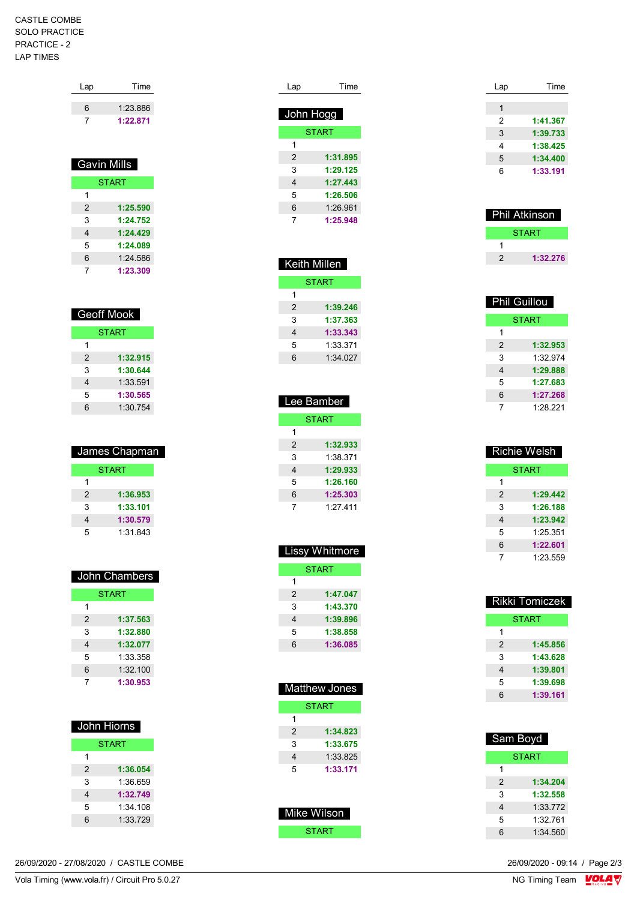## CASTLE COMBE SOLO PRACTICE PRACTICE - 2 LAP TIMES

| Lap | Time     |
|-----|----------|
| հ   | 1.23886  |
|     | 1:22.871 |

| Gavin Mills  |          |  |
|--------------|----------|--|
| <b>START</b> |          |  |
| 1            |          |  |
| 2            | 1:25.590 |  |
| 3            | 1:24.752 |  |
| 4            | 1:24.429 |  |
| 5            | 1:24.089 |  |
| 6            | 1:24.586 |  |
| 7            | 1:23.309 |  |

| Geoff Mook   |          |  |
|--------------|----------|--|
| <b>START</b> |          |  |
| 1            |          |  |
| 2            | 1:32.915 |  |
| 3            | 1:30.644 |  |
| 4            | 1:33.591 |  |
| 5            | 1:30.565 |  |
| 6            | 1:30.754 |  |

| James Chapman |          |  |
|---------------|----------|--|
| <b>START</b>  |          |  |
| 1             |          |  |
| 2             | 1:36.953 |  |
| 3             | 1:33.101 |  |
| 4             | 1:30.579 |  |
| 5             | 1:31.843 |  |

| John Chambers |              |  |  |
|---------------|--------------|--|--|
|               | <b>START</b> |  |  |
|               |              |  |  |
| 2             | 1:37.563     |  |  |
| 3             | 1:32.880     |  |  |
| 4             | 1:32.077     |  |  |
| 5             | 1:33.358     |  |  |
| 6             | 1:32.100     |  |  |
|               | 1:30.953     |  |  |

| John Hiorns  |  |  |
|--------------|--|--|
| <b>START</b> |  |  |
|              |  |  |
| 1:36.054     |  |  |
| 1:36 659     |  |  |
| 1:32.749     |  |  |
| 1.34108      |  |  |
| 1:33 729     |  |  |
|              |  |  |

| 26/09/2020 - 27/08/2020 / CASTLE COMBE |  |
|----------------------------------------|--|

| $\cap$ $\cap$<br>Vola<br>, iminc<br>(WWW<br>Pro<br>tr)<br>cuit<br>vola.<br>۱۳۲<br>ິບ.∪.∠ | NG.<br>$\sim$<br>imino<br><b>Gall</b><br>. .<br>$\cdot$ $\cdot$ |
|------------------------------------------------------------------------------------------|-----------------------------------------------------------------|

| Lap       | Time         |
|-----------|--------------|
|           |              |
| John Hogg |              |
|           | <b>START</b> |
| 1         |              |
| 2         | 1:31.895     |
| 3         | 1:29.125     |
| 4         | 1:27.443     |
| 5         | 1:26.506     |
| 6         | 1:26.961     |
| 7         | 1:25.948     |

| Keith Millen |          |  |
|--------------|----------|--|
| <b>START</b> |          |  |
| 1            |          |  |
| 2            | 1:39.246 |  |
| 3            | 1:37.363 |  |
| 4            | 1:33.343 |  |
| 5            | 1:33.371 |  |
| 6            | 1:34.027 |  |
|              |          |  |

| Lee Bamber |              |  |  |
|------------|--------------|--|--|
|            | <b>START</b> |  |  |
| 1          |              |  |  |
| 2          | 1:32.933     |  |  |
| 3          | 1:38.371     |  |  |
| 4          | 1:29.933     |  |  |
| 5          | 1:26.160     |  |  |
| 6          | 1:25.303     |  |  |
| 7          | 1.27411      |  |  |

|               | Lissy Whitmore |
|---------------|----------------|
|               | <b>START</b>   |
| 1             |                |
| $\mathcal{P}$ | 1:47.047       |
| 3             | 1:43.370       |
| 4             | 1:39.896       |
| 5             | 1:38.858       |
| 6             | 1:36.085       |

|   | <b>Matthew Jones</b> |
|---|----------------------|
|   | <b>START</b>         |
| 1 |                      |
| 2 | 1:34.823             |
| 3 | 1:33.675             |
| 4 | 1:33.825             |
| 5 | 1:33.171             |
|   |                      |
|   | Mike Wilson          |

| START |  |
|-------|--|

| Time     |
|----------|
|          |
|          |
| 1:41.367 |
| 1:39.733 |
| 1:38.425 |
| 1:34.400 |
| 1:33.191 |
|          |

| <b>Phil Atkinson</b> |              |
|----------------------|--------------|
|                      | <b>START</b> |
|                      |              |
| 2                    | 1:32.276     |

| <b>Phil Guillou</b> |          |
|---------------------|----------|
| <b>START</b>        |          |
| 1                   |          |
| 2                   | 1:32.953 |
| 3                   | 1:32.974 |
| 4                   | 1:29.888 |
| 5                   | 1:27.683 |
| 6                   | 1:27.268 |
| 7                   | 1.28221  |

|   | Richie Welsh |
|---|--------------|
|   | <b>START</b> |
| 1 |              |
| 2 | 1:29.442     |
| 3 | 1:26.188     |
| 4 | 1:23.942     |
| 5 | 1:25.351     |
| 6 | 1:22.601     |
| 7 | 1.23.559     |

| <b>Rikki Tomiczek</b> |
|-----------------------|
| <b>START</b>          |
|                       |
| 1:45.856              |
| 1:43.628              |
| 1:39.801              |
| 1:39.698              |
| 1:39.161              |
|                       |

| Sam Boyd     |          |
|--------------|----------|
| <b>START</b> |          |
| 1            |          |
| 2            | 1:34.204 |
| 3            | 1:32.558 |
| 4            | 1:33.772 |
| 5            | 1:32 761 |
| 6            | 1:34.560 |

 $\frac{C_0C_1C_1}{C_0C_1}$ 26/09/2020 - 09:14 / Page 2/3